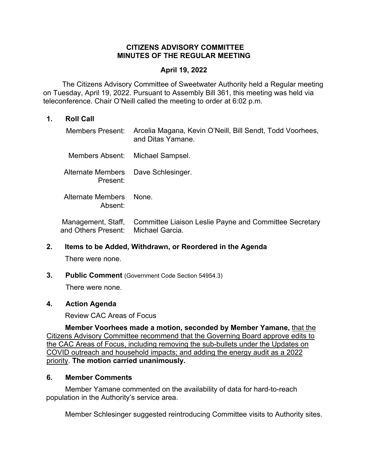#### **CITIZENS ADVISORY COMMITTEE MINUTES OF THE REGULAR MEETING**

#### **April 19, 2022**

 The Citizens Advisory Committee of Sweetwater Authority held a Regular meeting on Tuesday, April 19, 2022. Pursuant to Assembly Bill 361, this meeting was held via teleconference. Chair O'Neill called the meeting to order at 6:02 p.m.

#### **1. Roll Call**

| Members Present:                                | Arcelia Magana, Kevin O'Neill, Bill Sendt, Todd Voorhees,<br>and Ditas Yamane. |
|-------------------------------------------------|--------------------------------------------------------------------------------|
| Members Absent:                                 | Michael Sampsel.                                                               |
| Alternate Members Dave Schlesinger.<br>Present: |                                                                                |
| Alternate Members<br>Absent:                    | None.                                                                          |
| Management, Staff,<br>and Others Present:       | Committee Liaison Leslie Payne and Committee Secretary<br>Michael Garcia.      |

## **2. Items to be Added, Withdrawn, or Reordered in the Agenda**

There were none.

**3. Public Comment** (Government Code Section 54954.3)

There were none.

#### **4. Action Agenda**

Review CAC Areas of Focus

**Member Voorhees made a motion, seconded by Member Yamane,** that the Citizens Advisory Committee recommend that the Governing Board approve edits to the CAC Areas of Focus, including removing the sub-bullets under the Updates on COVID outreach and household impacts; and adding the energy audit as a 2022 priority. **The motion carried unanimously.** 

### **6. Member Comments**

Member Yamane commented on the availability of data for hard-to-reach population in the Authority's service area.

Member Schlesinger suggested reintroducing Committee visits to Authority sites.